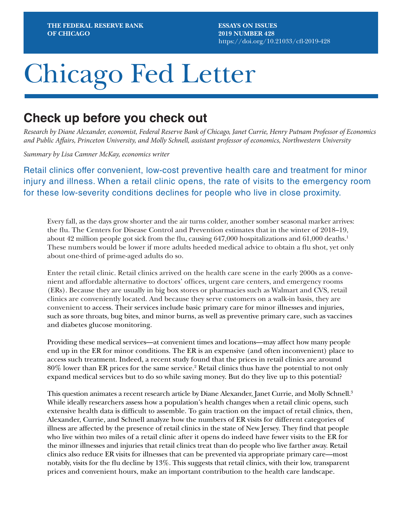**ESSAYS ON ISSUES 2019 NUMBER 428** <https://doi.org/10.21033/cfl-2019-428>

# Chicago Fed Letter

## **Check up before you check out**

*Research by Diane Alexander, economist, Federal Reserve Bank of Chicago, Janet Currie, Henry Putnam Professor of Economics and Public Affairs, Princeton University, and Molly Schnell, assistant professor of economics, Northwestern University*

*Summary by Lisa Camner McKay, economics writer*

Retail clinics offer convenient, low-cost preventive health care and treatment for minor injury and illness. When a retail clinic opens, the rate of visits to the emergency room for these low-severity conditions declines for people who live in close proximity.

Every fall, as the days grow shorter and the air turns colder, another somber seasonal marker arrives: the flu. The Centers for Disease Control and Prevention estimates that in the winter of 2018–19, about 42 million people got sick from the flu, causing  $647,000$  hospitalizations and  $61,000$  deaths.<sup>1</sup> These numbers would be lower if more adults heeded medical advice to obtain a flu shot, yet only about one-third of prime-aged adults do so.

Enter the retail clinic. Retail clinics arrived on the health care scene in the early 2000s as a convenient and affordable alternative to doctors' offices, urgent care centers, and emergency rooms (ERs). Because they are usually in big box stores or pharmacies such as Walmart and CVS, retail clinics are conveniently located. And because they serve customers on a walk-in basis, they are convenient to access. Their services include basic primary care for minor illnesses and injuries, such as sore throats, bug bites, and minor burns, as well as preventive primary care, such as vaccines and diabetes glucose monitoring.

Providing these medical services—at convenient times and locations—may affect how many people end up in the ER for minor conditions. The ER is an expensive (and often inconvenient) place to access such treatment. Indeed, a recent study found that the prices in retail clinics are around  $80\%$  lower than ER prices for the same service. $^2$  Retail clinics thus have the potential to not only expand medical services but to do so while saving money. But do they live up to this potential?

This question animates a recent research article by Diane Alexander, Janet Currie, and Molly Schnell.<sup>3</sup> While ideally researchers assess how a population's health changes when a retail clinic opens, such extensive health data is difficult to assemble. To gain traction on the impact of retail clinics, then, Alexander, Currie, and Schnell analyze how the numbers of ER visits for different categories of illness are affected by the presence of retail clinics in the state of New Jersey. They find that people who live within two miles of a retail clinic after it opens do indeed have fewer visits to the ER for the minor illnesses and injuries that retail clinics treat than do people who live farther away. Retail clinics also reduce ER visits for illnesses that can be prevented via appropriate primary care—most notably, visits for the flu decline by 13%. This suggests that retail clinics, with their low, transparent prices and convenient hours, make an important contribution to the health care landscape.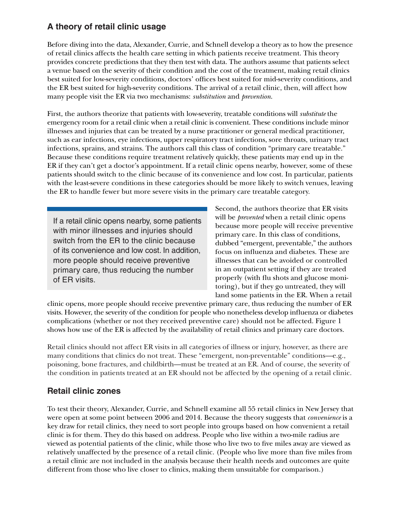## **A theory of retail clinic usage**

Before diving into the data, Alexander, Currie, and Schnell develop a theory as to how the presence of retail clinics affects the health care setting in which patients receive treatment. This theory provides concrete predictions that they then test with data. The authors assume that patients select a venue based on the severity of their condition and the cost of the treatment, making retail clinics best suited for low-severity conditions, doctors' offices best suited for mid-severity conditions, and the ER best suited for high-severity conditions. The arrival of a retail clinic, then, will affect how many people visit the ER via two mechanisms: *substitution* and *prevention*.

First, the authors theorize that patients with low-severity, treatable conditions will *substitute* the emergency room for a retail clinic when a retail clinic is convenient. These conditions include minor illnesses and injuries that can be treated by a nurse practitioner or general medical practitioner, such as ear infections, eye infections, upper respiratory tract infections, sore throats, urinary tract infections, sprains, and strains. The authors call this class of condition "primary care treatable." Because these conditions require treatment relatively quickly, these patients may end up in the ER if they can't get a doctor's appointment. If a retail clinic opens nearby, however, some of these patients should switch to the clinic because of its convenience and low cost. In particular, patients with the least-severe conditions in these categories should be more likely to switch venues, leaving the ER to handle fewer but more severe visits in the primary care treatable category.

If a retail clinic opens nearby, some patients with minor illnesses and injuries should switch from the ER to the clinic because of its convenience and low cost. In addition, more people should receive preventive primary care, thus reducing the number of ER visits.

Second, the authors theorize that ER visits will be *prevented* when a retail clinic opens because more people will receive preventive primary care. In this class of conditions, dubbed "emergent, preventable," the authors focus on influenza and diabetes. These are illnesses that can be avoided or controlled in an outpatient setting if they are treated properly (with flu shots and glucose monitoring), but if they go untreated, they will land some patients in the ER. When a retail

clinic opens, more people should receive preventive primary care, thus reducing the number of ER visits. However, the severity of the condition for people who nonetheless develop influenza or diabetes complications (whether or not they received preventive care) should not be affected. Figure 1 shows how use of the ER is affected by the availability of retail clinics and primary care doctors.

Retail clinics should not affect ER visits in all categories of illness or injury, however, as there are many conditions that clinics do not treat. These "emergent, non-preventable" conditions—e.g., poisoning, bone fractures, and childbirth—must be treated at an ER. And of course, the severity of the condition in patients treated at an ER should not be affected by the opening of a retail clinic.

### **Retail clinic zones**

To test their theory, Alexander, Currie, and Schnell examine all 55 retail clinics in New Jersey that were open at some point between 2006 and 2014. Because the theory suggests that *convenience* is a key draw for retail clinics, they need to sort people into groups based on how convenient a retail clinic is for them. They do this based on address. People who live within a two-mile radius are viewed as potential patients of the clinic, while those who live two to five miles away are viewed as relatively unaffected by the presence of a retail clinic. (People who live more than five miles from a retail clinic are not included in the analysis because their health needs and outcomes are quite different from those who live closer to clinics, making them unsuitable for comparison.)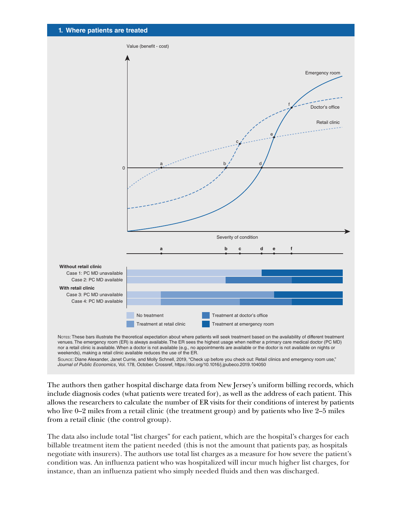

The authors then gather hospital discharge data from New Jersey's uniform billing records, which include diagnosis codes (what patients were treated for), as well as the address of each patient. This allows the researchers to calculate the number of ER visits for their conditions of interest by patients who live 0–2 miles from a retail clinic (the treatment group) and by patients who live 2–5 miles from a retail clinic (the control group).

The data also include total "list charges" for each patient, which are the hospital's charges for each billable treatment item the patient needed (this is not the amount that patients pay, as hospitals negotiate with insurers). The authors use total list charges as a measure for how severe the patient's condition was. An influenza patient who was hospitalized will incur much higher list charges, for instance, than an influenza patient who simply needed fluids and then was discharged.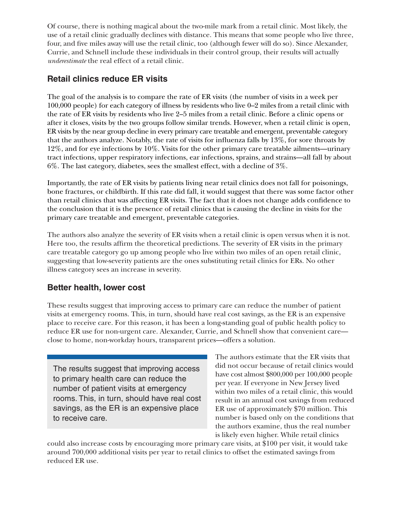Of course, there is nothing magical about the two-mile mark from a retail clinic. Most likely, the use of a retail clinic gradually declines with distance. This means that some people who live three, four, and five miles away will use the retail clinic, too (although fewer will do so). Since Alexander, Currie, and Schnell include these individuals in their control group, their results will actually *underestimate* the real effect of a retail clinic.

### **Retail clinics reduce ER visits**

The goal of the analysis is to compare the rate of ER visits (the number of visits in a week per 100,000 people) for each category of illness by residents who live 0–2 miles from a retail clinic with the rate of ER visits by residents who live 2–5 miles from a retail clinic. Before a clinic opens or after it closes, visits by the two groups follow similar trends. However, when a retail clinic is open, ER visits by the near group decline in every primary care treatable and emergent, preventable category that the authors analyze. Notably, the rate of visits for influenza falls by 13%, for sore throats by 12%, and for eye infections by 10%. Visits for the other primary care treatable ailments—urinary tract infections, upper respiratory infections, ear infections, sprains, and strains—all fall by about 6%. The last category, diabetes, sees the smallest effect, with a decline of 3%.

Importantly, the rate of ER visits by patients living near retail clinics does not fall for poisonings, bone fractures, or childbirth. If this rate did fall, it would suggest that there was some factor other than retail clinics that was affecting ER visits. The fact that it does not change adds confidence to the conclusion that it is the presence of retail clinics that is causing the decline in visits for the primary care treatable and emergent, preventable categories.

The authors also analyze the severity of ER visits when a retail clinic is open versus when it is not. Here too, the results affirm the theoretical predictions. The severity of ER visits in the primary care treatable category go up among people who live within two miles of an open retail clinic, suggesting that low-severity patients are the ones substituting retail clinics for ERs. No other illness category sees an increase in severity.

### **Better health, lower cost**

These results suggest that improving access to primary care can reduce the number of patient visits at emergency rooms. This, in turn, should have real cost savings, as the ER is an expensive place to receive care. For this reason, it has been a long-standing goal of public health policy to reduce ER use for non-urgent care. Alexander, Currie, and Schnell show that convenient care close to home, non-workday hours, transparent prices—offers a solution.

The results suggest that improving access to primary health care can reduce the number of patient visits at emergency rooms. This, in turn, should have real cost savings, as the ER is an expensive place to receive care.

The authors estimate that the ER visits that did not occur because of retail clinics would have cost almost \$800,000 per 100,000 people per year. If everyone in New Jersey lived within two miles of a retail clinic, this would result in an annual cost savings from reduced ER use of approximately \$70 million. This number is based only on the conditions that the authors examine, thus the real number is likely even higher. While retail clinics

could also increase costs by encouraging more primary care visits, at \$100 per visit, it would take around 700,000 additional visits per year to retail clinics to offset the estimated savings from reduced ER use.